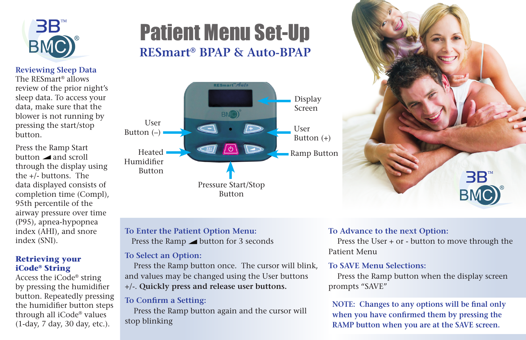

**Reviewing Sleep Data** The RESmart® allows review of the prior night's sleep data. To access your data, make sure that the blower is not running by pressing the start/stop

Press the Ramp Start button and scroll through the display using the +/- buttons. The data displayed consists of completion time (Compl), 95th percentile of the airway pressure over time (P95), apnea-hypopnea index (AHI), and snore

button.

# Patient Menu Set-Up **RESmart® BPAP & Auto-BPAP**





### **To Enter the Patient Option Menu:**

Press the Ramp button for 3 seconds

#### **To Select an Option:**

 Press the Ramp button once. The cursor will blink, and values may be changed using the User buttons +/-. **Quickly press and release user buttons.**

#### **To Confirm a Setting:**

 Press the Ramp button again and the cursor will stop blinking

#### **To Advance to the next Option:**

 Press the User + or - button to move through the Patient Menu

#### **To SAVE Menu Selections:**

 Press the Ramp button when the display screen prompts "SAVE"

**NOTE: Changes to any options will be final only when you have confirmed them by pressing the RAMP button when you are at the SAVE screen.** 

## index (SNI). **Retrieving your**

#### **iCode® String**

Access the iCode® string by pressing the humidifier button. Repeatedly pressing the humidifier button steps through all iCode® values (1-day, 7 day, 30 day, etc.).